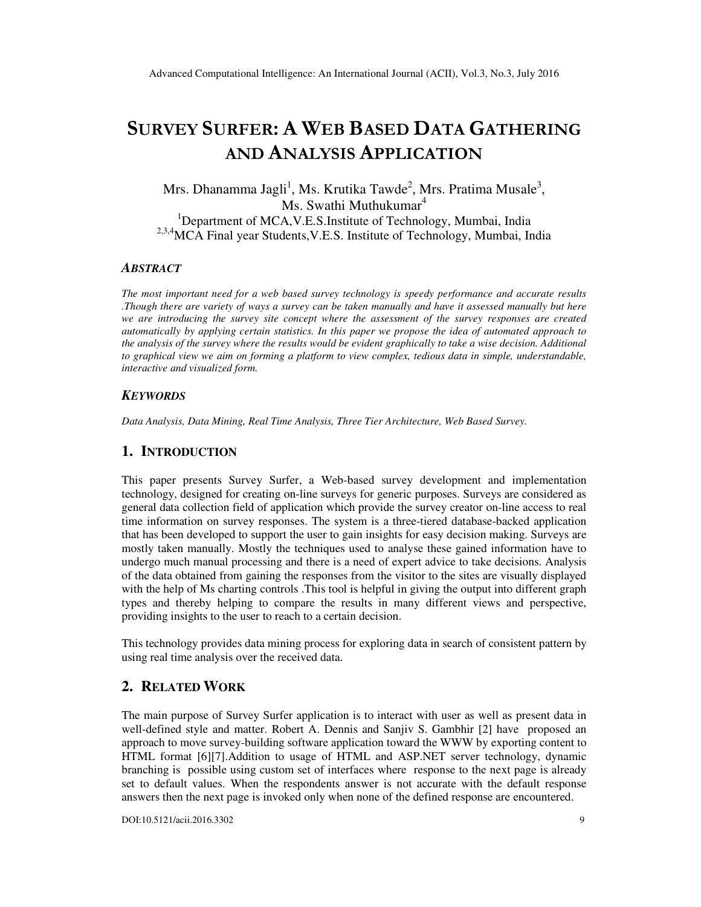# SURVEY SURFER: A WEB BASED DATA GATHERING AND ANALYSIS APPLICATION

Mrs. Dhanamma Jagli<sup>1</sup>, Ms. Krutika Tawde<sup>2</sup>, Mrs. Pratima Musale<sup>3</sup>, Ms. Swathi Muthukumar<sup>4</sup>

<sup>1</sup>Department of MCA, V.E.S.Institute of Technology, Mumbai, India <sup>2,3,4</sup>MCA Final year Students, V.E.S. Institute of Technology, Mumbai, India

### *ABSTRACT*

*The most important need for a web based survey technology is speedy performance and accurate results .Though there are variety of ways a survey can be taken manually and have it assessed manually but here we are introducing the survey site concept where the assessment of the survey responses are created automatically by applying certain statistics. In this paper we propose the idea of automated approach to the analysis of the survey where the results would be evident graphically to take a wise decision. Additional to graphical view we aim on forming a platform to view complex, tedious data in simple, understandable, interactive and visualized form.* 

### *KEYWORDS*

*Data Analysis, Data Mining, Real Time Analysis, Three Tier Architecture, Web Based Survey.* 

### **1. INTRODUCTION**

This paper presents Survey Surfer, a Web-based survey development and implementation technology, designed for creating on-line surveys for generic purposes. Surveys are considered as general data collection field of application which provide the survey creator on-line access to real time information on survey responses. The system is a three-tiered database-backed application that has been developed to support the user to gain insights for easy decision making. Surveys are mostly taken manually. Mostly the techniques used to analyse these gained information have to undergo much manual processing and there is a need of expert advice to take decisions. Analysis of the data obtained from gaining the responses from the visitor to the sites are visually displayed with the help of Ms charting controls . This tool is helpful in giving the output into different graph types and thereby helping to compare the results in many different views and perspective, providing insights to the user to reach to a certain decision.

This technology provides data mining process for exploring data in search of consistent pattern by using real time analysis over the received data.

### **2. RELATED WORK**

The main purpose of Survey Surfer application is to interact with user as well as present data in well-defined style and matter. Robert A. Dennis and Sanjiv S. Gambhir [2] have proposed an approach to move survey-building software application toward the WWW by exporting content to HTML format [6][7].Addition to usage of HTML and ASP.NET server technology, dynamic branching is possible using custom set of interfaces where response to the next page is already set to default values. When the respondents answer is not accurate with the default response answers then the next page is invoked only when none of the defined response are encountered.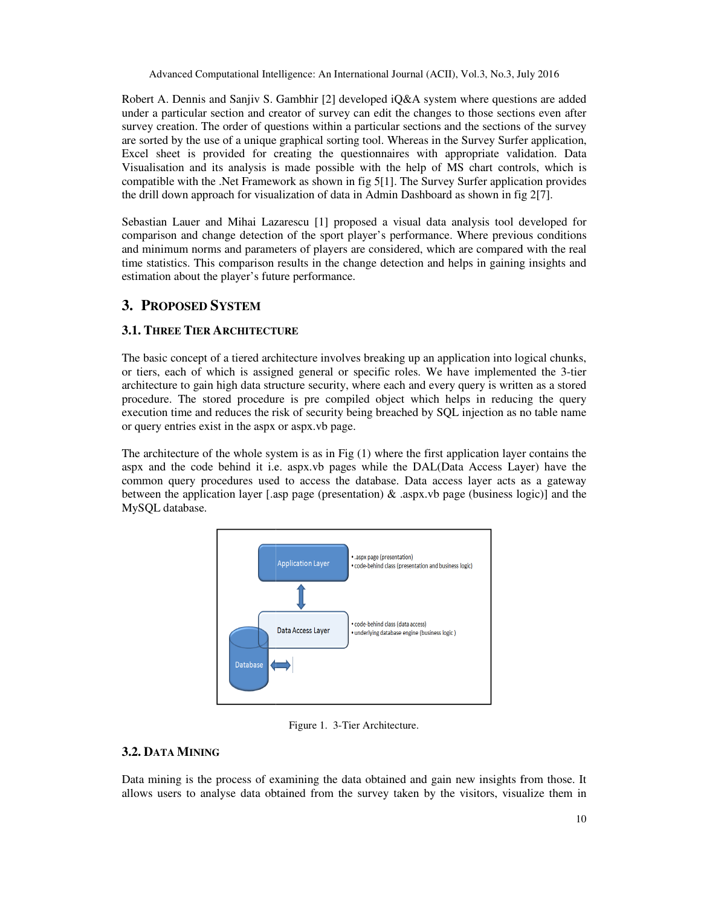Robert A. Dennis and Sanjiv S. Gambhir [2] developed iQ&A system where questions are added under a particular section and creator of survey can edit the changes to those sections even after survey creation. The order of questions within a particular sections and the sections of the survey survey creation. The order of questions within a particular sections and the sections of the survey survey creation. The order of questions within a particular sections and the sections of the survey are sorted by the use of a unique graphical sorting tool. Whereas in the Survey Surfer application, Excel sheet is provided for creating the questionnaires with appropriate validation. Data Visualisation and its analysis is made possible with the help of MS chart controls, which is compatible with the .Net Framework as shown in fig 5[1]. The Survey Surfer application provides the drill down approach for visualization of data in Admin Dashboard as shown in fig  $2[7]$ . Excel sheet is provided for creating the questionnaires with appropriate validation. Data Visualisation and its analysis is made possible with the help of MS chart controls, which is compatible with the .Net Framework as s , No.3, July 2016<br>
e questions are added<br>
e e destions are added<br>
e sections even after<br>
ections of the survey<br>
gy Surfer application. Data<br>
rt controls, which is<br>
capplication provides<br>
wn in fig 2[7].<br>
s tool developed f

Sebastian Lauer and Mihai Lazarescu Lazarescu [1] proposed a visual data analysis tool developed for comparison and change detection of the sport player's performance. Where previous conditions and minimum norms and parameters of players are considered, which are compared with the real time statistics. This comparison results in the change detection and helps in gaining insights and estimation about the player's future performance. time statistics. This comparison results in the change detection and helps in gaining in<br> **3.** PROPOSED SYSTEM<br> **3.1. THREE TIER ARCHITECTURE**<br>
The basic concept of a tiered architecture involves breaking up an application Sebastian Lauer and Mihai Lazarescu [1] proposed a visual data analysis tool developed for comparison and change detection of the sport player's performance. Where previous conditions and minimum norms and parameters of pl

# **3. PROPOSED SYSTEM**

### **3.1. THREE TIER ARCHITECTURE**

or tiers, each of which is assigned general or specific roles. We have implemented the 3-tier architecture to gain high data structure security, where each and every query is written as a stored procedure. The stored procedure is pre compiled object which helps in reducing the query execution time and reduces the risk of security being breached by SQL injection as no table name or query entries exist in the aspx or aspx.vb page. each of which is assigned general or specific roles. We have implemented the 3-tier<br>ure to gain high data structure security, where each and every query is written as a stored<br>e. The stored procedure is pre compiled object

or query entries exist in the aspx or aspx.vb page.<br>The architecture of the whole system is as in Fig (1) where the first application layer contains the aspx and the code behind it i.e. aspx.vb pages while the DAL(Data Access Layer) have the common query procedures used to access the database. Data access layer acts as a gateway between the application layer [.asp page (presentation)  $\&$  .aspx.vb page (business logic) MySQL database. architecture to gain high data structure security, where each and every query is written as a stored<br>procedure. The stored procedure is pre compiled object which helps in reducing the query<br>execution time and reduces the r



Figure 1. 3-Tier Architecture.

# **3.2. DATA MINING**

Data mining is the process of examining the data obtained and gain new insights from those. It Data mining is the process of examining the data obtained and gain new insights from those. It allows users to analyse data obtained from the survey taken by the visitors, visualize them in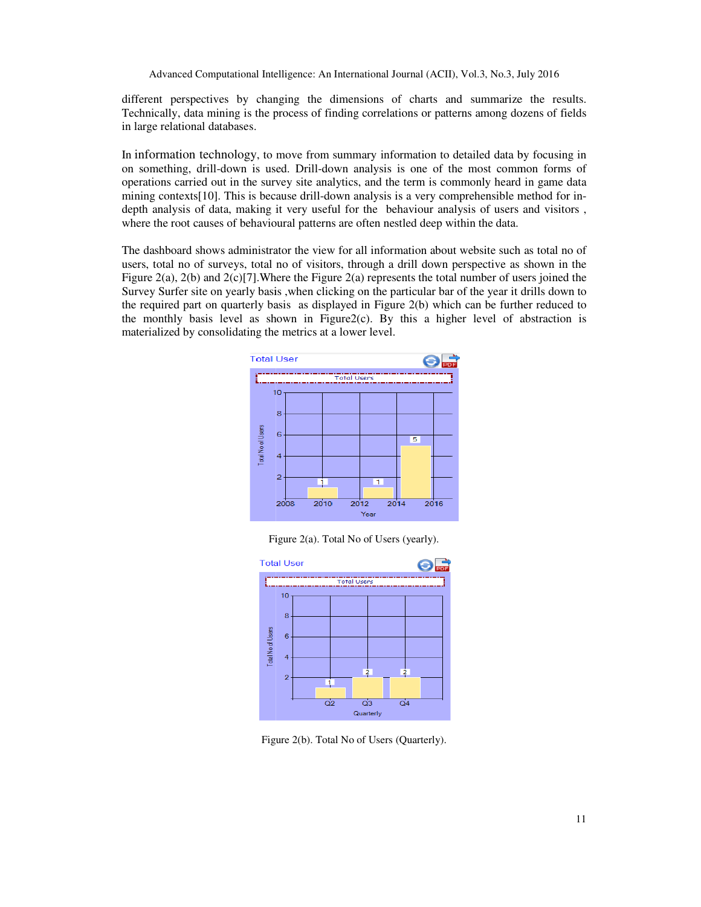different perspectives by changing the dimensions of charts and summarize the results. Technically, data mining is the process of finding correlations or patterns among dozens of fields in large relational databases.

In information technology, to move from summary information to detailed data by focusing in on something, drill-down is used. Drill-down analysis is one of the most common forms of operations carried out in the survey site analytics, and the term is commonly heard in game data operations carried out in the survey site analytics, and the term is commonly heard in game data<br>mining contexts[10]. This is because drill-down analysis is a very comprehensible method for in depth analysis of data, making it very useful for the behaviour analysis of users and visitors, where the root causes of behavioural patterns are often nestled deep within the data. depth analysis of data, making it very useful for the behaviour analysis of users and visitors, where the root causes of behavioural patterns are often nestled deep within the data.<br>The dashboard shows administrator the vi ing is the process of finding correlations or patterns among dozens of fields<br>tabases.<br>nology, to move from summary information to detailed data by focusing in<br>down is used. Drill-down analysis is one of the most common fo from summary information to detailed data by focusing in<br>rill-down analysis is one of the most common forms of<br>re analytics, and the term is commonly heard in game data<br>rill-down analysis is a very comprehensible method fo

The dashboard shows administrator the view for all information about website such as total no of Figure 2(a), 2(b) and 2(c)[7]. Where the Figure 2(a) represents the total number of users joined the Survey Surfer site on yearly basis, when clicking on the particular bar of the year it drills down to the required part on quarterly basis as displayed in Figure  $2(b)$  which can be further the monthly basis level as shown in Figure  $2(c)$ . By this a higher level of abstraction is materialized by consolidating the metrics at a lower level. No.3, July 2016,<br>
mmarize the results.<br>
mong dozens of fields<br>
d data by focusing in<br>
st common forms of<br>
y heard in game data<br>
missible method for in-<br>
it is such as total no of<br>
it is such as total no of<br>
year it drills The dashboard shows administrator the view for all information about website such as total no of users, total no of surveys, total no of visitors, through a drill down perspective as shown in the Figure 2(a), 2(b) and 2(c)



Figure 2(a). Total No of Users (yearly).



Figure 2( Figure 2(b). Total No of Users (Quarterly).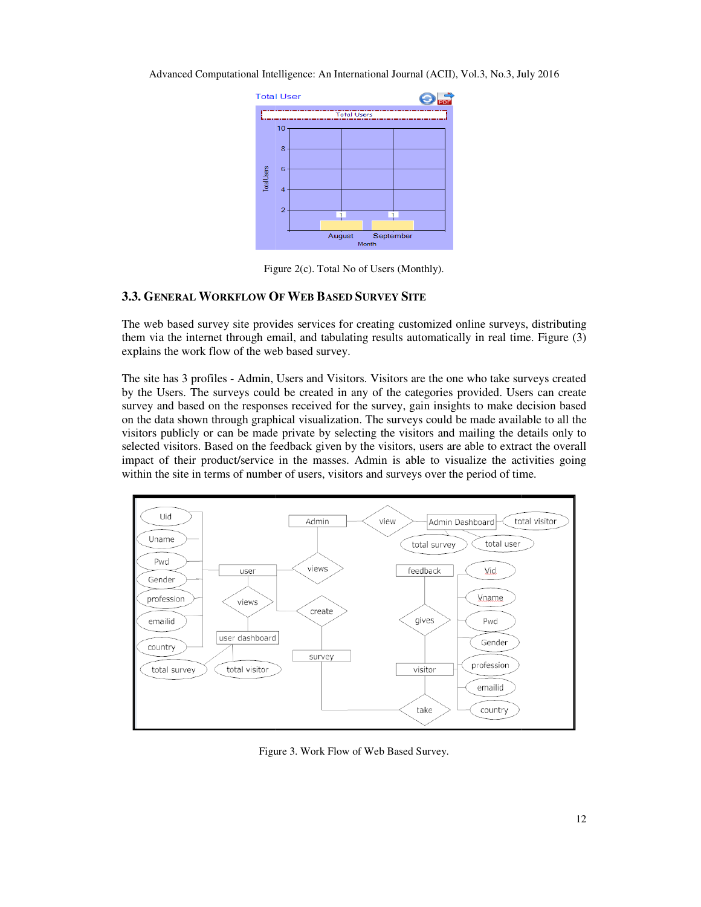

Figure Figure 2(c). Total No of Users (Monthly).

### **3.3. GENERAL WORKFLOW O F WEB BASED SURVEY SITE**

The web based survey site provides services for creating customized online surveys, distributing The web based survey site provides services for creating customized online surveys, distributing them via the internet through email, and tabulating results automatically in real time. Figure (3) explains the work flow of the web based survey.

The site has 3 profiles - Admin, Users and Visitors. Visitors are the one who take surveys created by the Users. The surveys could be created in any of the categories provided. Users can create survey and based on the responses received for the survey, gain insights to make decision based on the data shown through graphical visualization. The surveys could be mad visitors publicly or can be made private by selecting the visitors and mailing the details only to selected visitors. Based on the feedback given by the visitors, users are able to extract the overall impact of their product/service in the masses. Admin is able to visualize the activities going within the site in terms of number of users, visitors and surveys over the period of time. within the The web based survey site provides services for creating customized online surveys, distributing<br>hem via the internet through email, and tabulating results automatically in real time. Figure (3)<br>explains the work flow of t be made private by selecting the visitors and mailing the details only to on the feedback given by the visitors, users are able to extract the overall /service in the masses. Admin is able to visualize the activities going The site has 3 profiles - Admin, Users and Visitors. Visitors are the one who ta<br>by the Users. The surveys could be created in any of the categories provided<br>survey and based on the responses received for the survey, gain



Figure 3. Work Flow of Web Based Survey.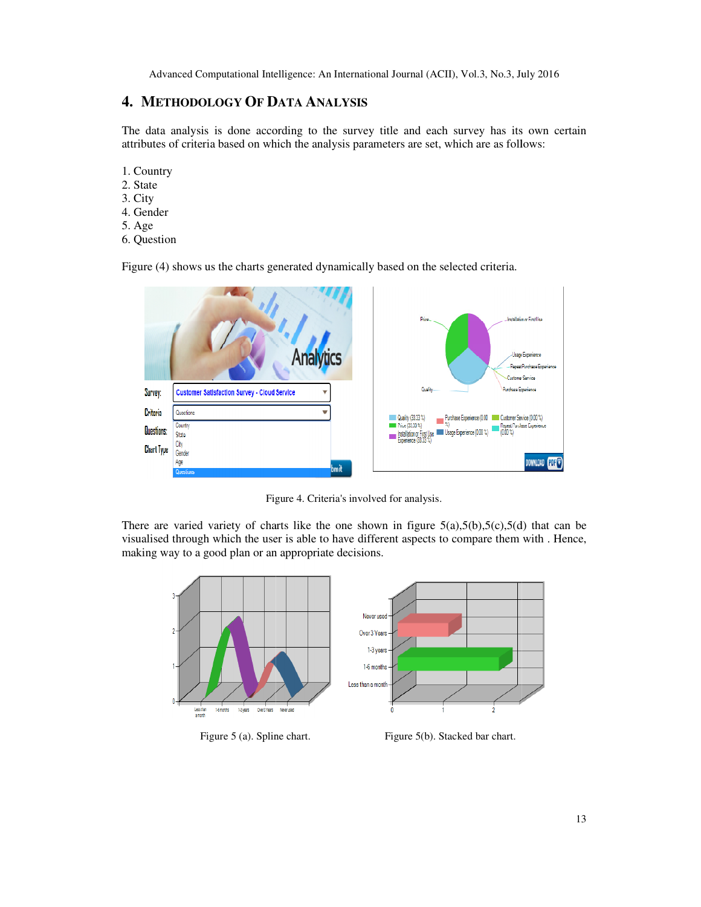# **4. METHODOLOGY OF D ATA ANALYSIS**

The data analysis is done according to the survey title and each survey has its own certain The data analysis is done according to the survey title and each survey has its own attributes of criteria based on which the analysis parameters are set, which are as follows:

- 1. Country
- 2. State
- 3. City
- 4. Gender
- 5. Age
- 6. Question

Figure (4) shows us the charts generated dynamically based on the selected criteria.



Figure 4. Criteria's involved for analysis.

There are varied variety of charts like the one shown in figure  $5(a)$ , $5(b)$ , $5(c)$ , $5(d)$  that can be visualised through which the user is able to have different aspects to compare them with. Hence, making way to a good plan or an appropriate decisions.



Figure 5 (a). Spline chart.

Figure 5(b). Stacked bar chart.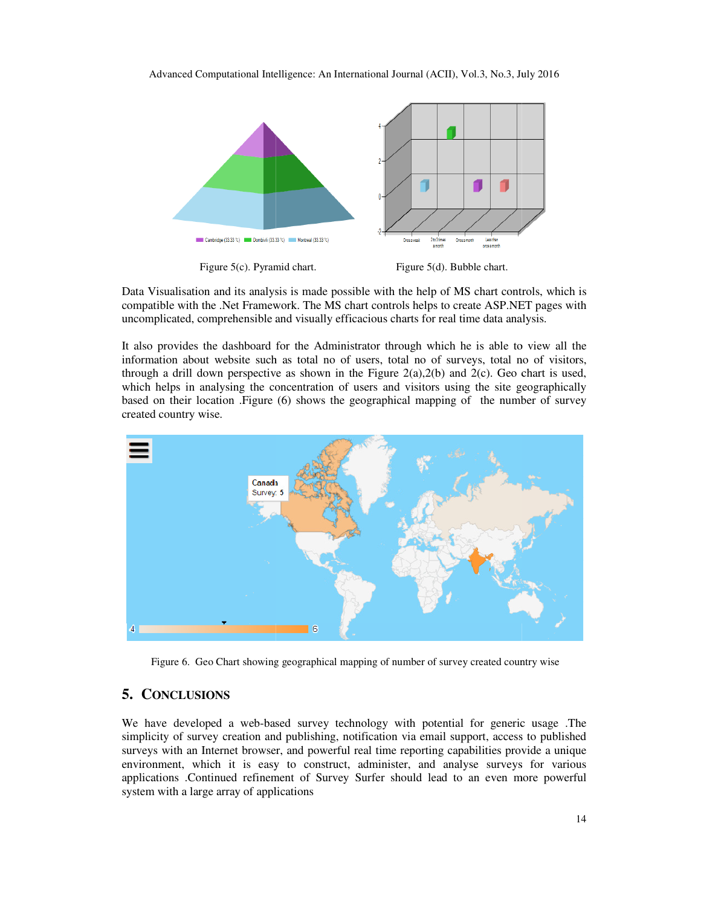Advanced Computational Intelligence: An International Journal (ACII), Vol.3, No.3, July 2016



Data Visualisation and its analysis is made possible with the help of MS chart controls, which is compatible with the .Net Framework. The MS chart controls helps to create ASP.NET pages with compatible with the .Net Framework. The MS chart controls helps to create ASP.NET pages with uncomplicated, comprehensible and visually efficacious charts for real time data analysis.

It also provides the dashboard for the Administrator through which he is able to view all the information about website such as total no of users, total no of surveys, total no of visitors, information about website such as total no of users, total no of surveys, total no of visitors, through a drill down perspective as shown in the Figure  $2(a)$ ,  $2(b)$  and  $2(c)$ . Geo chart is used, which helps in analysing the concentration of users and visitors using the site geographically based on their location .Figure (6) shows the geographical mapping of the number of survey created country wise.



Figure 6. Geo Chart showing geographical mapping of number of survey created country wise

# **5. CONCLUSIONS**

We have developed a web-based survey technology with potential for generic usage .The simplicity of survey creation and publishing, notification via email support, access to published surveys with an Internet browser, and powerful real time reporting capabilities provide a unique environment, which it is easy to construct, administer, and analyse surveys for various applications .Continued refinement of Survey Surfer should lead to an even more powerful system with a large array of applications a web-based survey technology with potential for generic usage .The creation and publishing, notification via email support, access to published met browser, and powerful real time reporting capabilities provide a unique